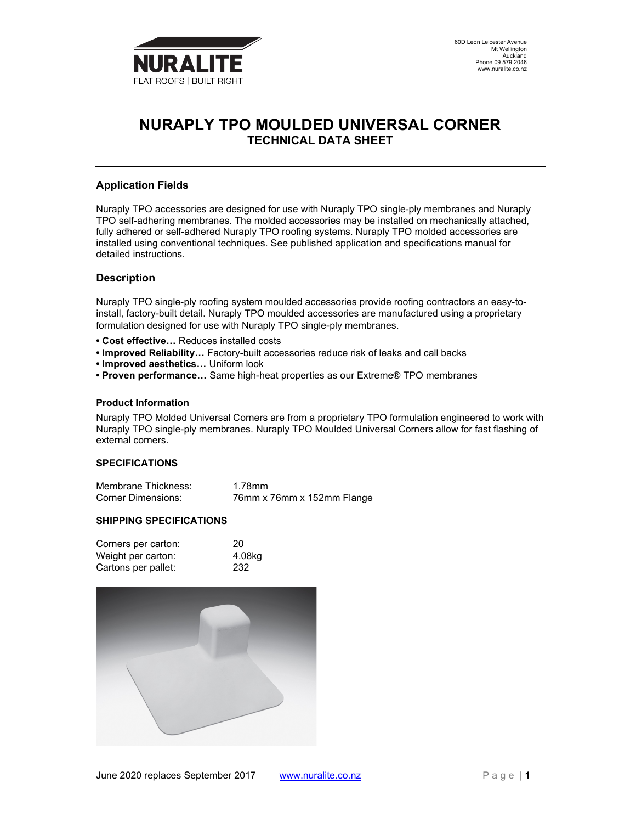

# NURAPLY TPO MOULDED UNIVERSAL CORNER TECHNICAL DATA SHEET

# Application Fields

Nuraply TPO accessories are designed for use with Nuraply TPO single-ply membranes and Nuraply TPO self-adhering membranes. The molded accessories may be installed on mechanically attached, fully adhered or self-adhered Nuraply TPO roofing systems. Nuraply TPO molded accessories are installed using conventional techniques. See published application and specifications manual for detailed instructions.

# **Description**

Nuraply TPO single-ply roofing system moulded accessories provide roofing contractors an easy-toinstall, factory-built detail. Nuraply TPO moulded accessories are manufactured using a proprietary formulation designed for use with Nuraply TPO single-ply membranes.

- Cost effective… Reduces installed costs
- Improved Reliability… Factory-built accessories reduce risk of leaks and call backs
- Improved aesthetics… Uniform look
- Proven performance… Same high-heat properties as our Extreme® TPO membranes

#### Product Information

Nuraply TPO Molded Universal Corners are from a proprietary TPO formulation engineered to work with Nuraply TPO single-ply membranes. Nuraply TPO Moulded Universal Corners allow for fast flashing of external corners.

#### SPECIFICATIONS

| Membrane Thickness:       | 1.78mm                     |
|---------------------------|----------------------------|
| <b>Corner Dimensions:</b> | 76mm x 76mm x 152mm Flange |

# SHIPPING SPECIFICATIONS

| Corners per carton: | 20     |
|---------------------|--------|
| Weight per carton:  | 4.08kg |
| Cartons per pallet: | 232    |